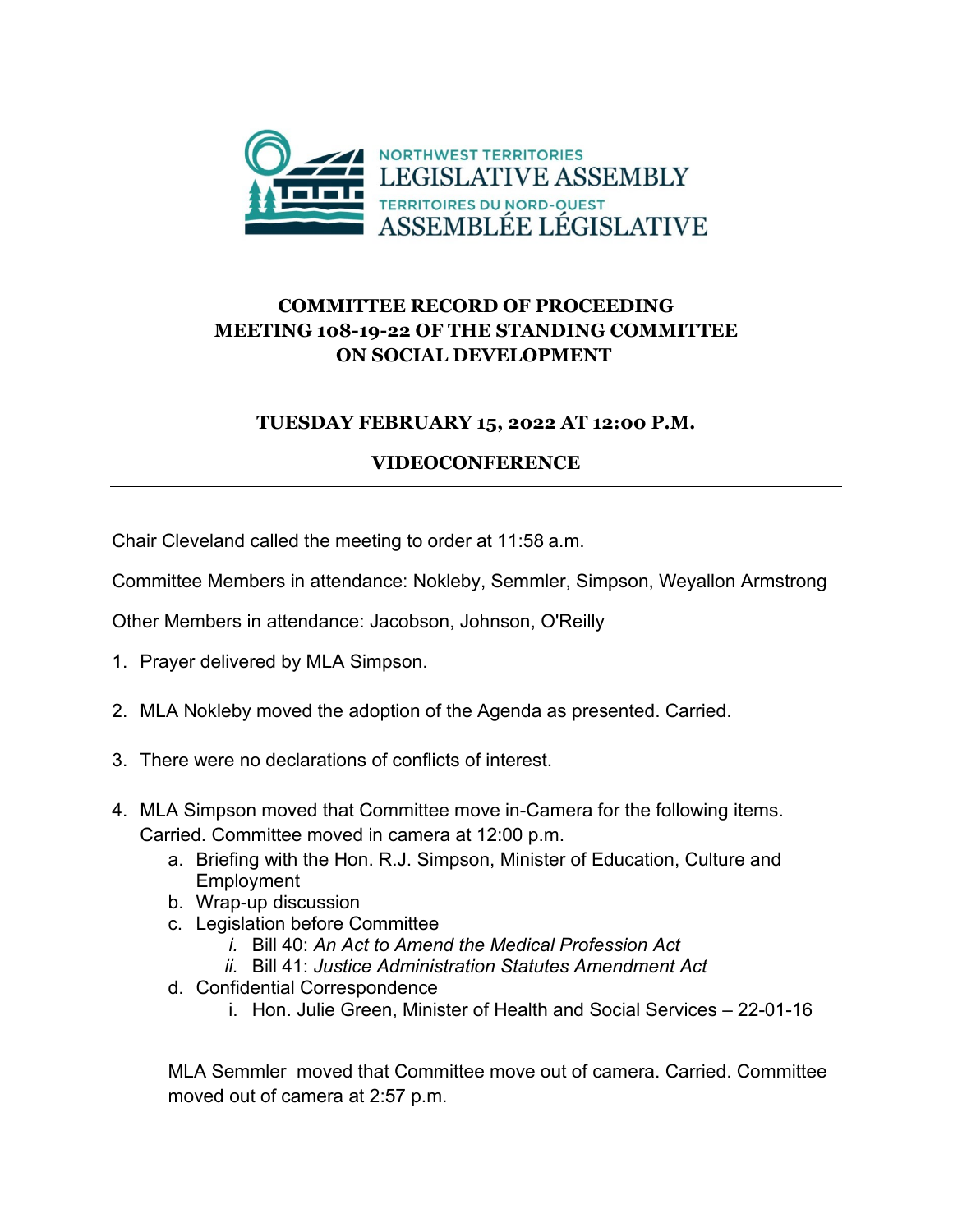

## **COMMITTEE RECORD OF PROCEEDING MEETING 108-19-22 OF THE STANDING COMMITTEE ON SOCIAL DEVELOPMENT**

## **TUESDAY FEBRUARY 15, 2022 AT 12:00 P.M.**

## **VIDEOCONFERENCE**

Chair Cleveland called the meeting to order at 11:58 a.m.

Committee Members in attendance: Nokleby, Semmler, Simpson, Weyallon Armstrong

Other Members in attendance: Jacobson, Johnson, O'Reilly

- 1. Prayer delivered by MLA Simpson.
- 2. MLA Nokleby moved the adoption of the Agenda as presented. Carried.
- 3. There were no declarations of conflicts of interest.
- 4. MLA Simpson moved that Committee move in-Camera for the following items. Carried. Committee moved in camera at 12:00 p.m.
	- a. Briefing with the Hon. R.J. Simpson, Minister of Education, Culture and **Employment**
	- b. Wrap-up discussion
	- c. Legislation before Committee
		- *i.* Bill 40: *An Act to Amend the Medical Profession Act*
		- *ii.* Bill 41: *Justice Administration Statutes Amendment Act*
	- d. Confidential Correspondence
		- i. Hon. Julie Green, Minister of Health and Social Services 22-01-16

MLA Semmler moved that Committee move out of camera. Carried. Committee moved out of camera at 2:57 p.m.